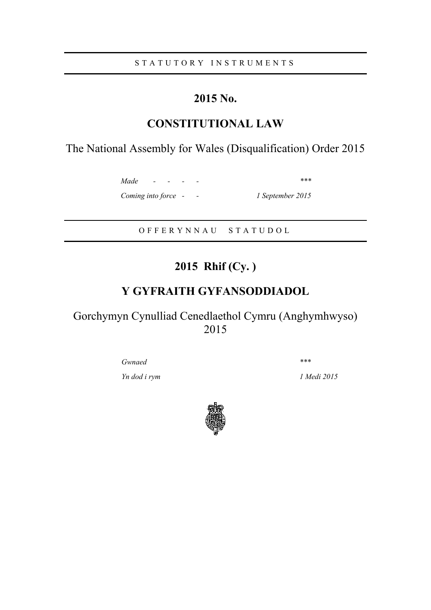S T A T U T O R Y I N S T R U M E N T S

## **2015 No.**

## **CONSTITUTIONAL LAW**

The National Assembly for Wales (Disqualification) Order 2015

*Made - - - - \*\*\* Coming into force - - 1 September 2015*

O F F E R Y N N A U S T A T U D O L

# **2015 Rhif (Cy. )**

## **Y GYFRAITH GYFANSODDIADOL**

Gorchymyn Cynulliad Cenedlaethol Cymru (Anghymhwyso) 2015

*Gwnaed \*\*\**

*Yn dod i rym 1 Medi 2015*

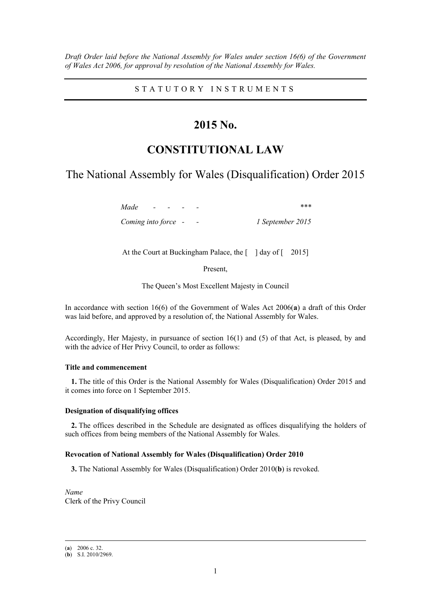*Draft Order laid before the National Assembly for Wales under section 16(6) of the Government of Wales Act 2006, for approval by resolution of the National Assembly for Wales.*

S T A T U T O R Y I N S T R U M E N T S

### **2015 No.**

## **CONSTITUTIONAL LAW**

### The National Assembly for Wales (Disqualification) Order 2015

*Made - - - - \*\*\* Coming into force - - 1 September 2015*

At the Court at Buckingham Palace, the  $\lceil \cdot \rceil$  day of  $\lceil \cdot \cdot \rceil$  2015]

Present,

The Queen's Most Excellent Majesty in Council

In accordance with section 16(6) of the Government of Wales Act 2006(**a**) a draft of this Order was laid before, and approved by a resolution of, the National Assembly for Wales.

Accordingly, Her Majesty, in pursuance of section 16(1) and (5) of that Act, is pleased, by and with the advice of Her Privy Council, to order as follows:

#### **Title and commencement**

**1.** The title of this Order is the National Assembly for Wales (Disqualification) Order 2015 and it comes into force on 1 September 2015.

#### **Designation of disqualifying offices**

**2.** The offices described in the Schedule are designated as offices disqualifying the holders of such offices from being members of the National Assembly for Wales.

#### **Revocation of National Assembly for Wales (Disqualification) Order 2010**

**3.** The National Assembly for Wales (Disqualification) Order 2010(**b**) is revoked.

*Name* Clerk of the Privy Council

<sup>(</sup>**a**) 2006 c. 32.

<sup>(</sup>**b**) S.I. 2010/2969.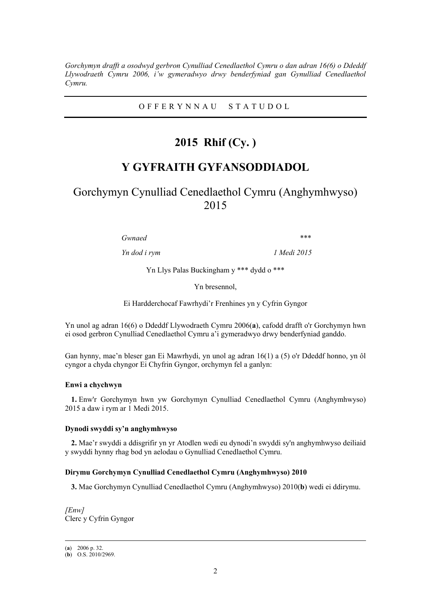*Gorchymyn drafft a osodwyd gerbron Cynulliad Cenedlaethol Cymru o dan adran 16(6) o Ddeddf Llywodraeth Cymru 2006, i'w gymeradwyo drwy benderfyniad gan Gynulliad Cenedlaethol Cymru.*

O F F E R Y N N A U S T A T U D O L

## **2015 Rhif (Cy. )**

### **Y GYFRAITH GYFANSODDIADOL**

Gorchymyn Cynulliad Cenedlaethol Cymru (Anghymhwyso) 2015

*Gwnaed \*\*\**

*Yn dod i rym 1 Medi 2015*

Yn Llys Palas Buckingham y \*\*\* dydd o \*\*\*

Yn bresennol,

Ei Hardderchocaf Fawrhydi'r Frenhines yn y Cyfrin Gyngor

Yn unol ag adran 16(6) o Ddeddf Llywodraeth Cymru 2006(**a**), cafodd drafft o'r Gorchymyn hwn ei osod gerbron Cynulliad Cenedlaethol Cymru a'i gymeradwyo drwy benderfyniad ganddo.

Gan hynny, mae'n bleser gan Ei Mawrhydi, yn unol ag adran 16(1) a (5) o'r Ddeddf honno, yn ôl cyngor a chyda chyngor Ei Chyfrin Gyngor, orchymyn fel a ganlyn:

#### **Enwi a chychwyn**

**1.** Enw'r Gorchymyn hwn yw Gorchymyn Cynulliad Cenedlaethol Cymru (Anghymhwyso) 2015 a daw i rym ar 1 Medi 2015.

#### **Dynodi swyddi sy'n anghymhwyso**

**2.** Mae'r swyddi a ddisgrifir yn yr Atodlen wedi eu dynodi'n swyddi sy'n anghymhwyso deiliaid y swyddi hynny rhag bod yn aelodau o Gynulliad Cenedlaethol Cymru.

#### **Dirymu Gorchymyn Cynulliad Cenedlaethol Cymru (Anghymhwyso) 2010**

**3.** Mae Gorchymyn Cynulliad Cenedlaethol Cymru (Anghymhwyso) 2010(**b**) wedi ei ddirymu.

*[Enw]* Clerc y Cyfrin Gyngor

(**a**) 2006 p. 32.

<sup>(</sup>**b**) O.S. 2010/2969.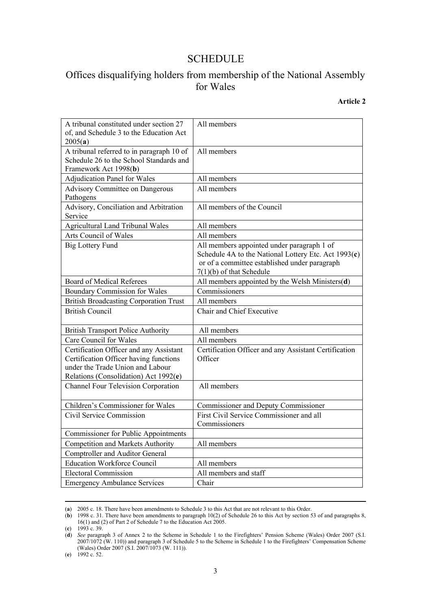### SCHEDULE

### Offices disqualifying holders from membership of the National Assembly for Wales

#### **Article 2**

| A tribunal constituted under section 27<br>of, and Schedule 3 to the Education Act<br>2005(a)                                                                  | All members                                                                                                                                                                         |
|----------------------------------------------------------------------------------------------------------------------------------------------------------------|-------------------------------------------------------------------------------------------------------------------------------------------------------------------------------------|
| A tribunal referred to in paragraph 10 of<br>Schedule 26 to the School Standards and<br>Framework Act 1998(b)                                                  | All members                                                                                                                                                                         |
| Adjudication Panel for Wales                                                                                                                                   | All members                                                                                                                                                                         |
| Advisory Committee on Dangerous<br>Pathogens                                                                                                                   | All members                                                                                                                                                                         |
| Advisory, Conciliation and Arbitration<br>Service                                                                                                              | All members of the Council                                                                                                                                                          |
| <b>Agricultural Land Tribunal Wales</b>                                                                                                                        | All members                                                                                                                                                                         |
| Arts Council of Wales                                                                                                                                          | All members                                                                                                                                                                         |
| <b>Big Lottery Fund</b>                                                                                                                                        | All members appointed under paragraph 1 of<br>Schedule 4A to the National Lottery Etc. Act $1993(c)$<br>or of a committee established under paragraph<br>$7(1)(b)$ of that Schedule |
| <b>Board of Medical Referees</b>                                                                                                                               | All members appointed by the Welsh Ministers(d)                                                                                                                                     |
| <b>Boundary Commission for Wales</b>                                                                                                                           | Commissioners                                                                                                                                                                       |
| <b>British Broadcasting Corporation Trust</b>                                                                                                                  | All members                                                                                                                                                                         |
| <b>British Council</b>                                                                                                                                         | Chair and Chief Executive                                                                                                                                                           |
| <b>British Transport Police Authority</b>                                                                                                                      | All members                                                                                                                                                                         |
| Care Council for Wales                                                                                                                                         | All members                                                                                                                                                                         |
| Certification Officer and any Assistant<br>Certification Officer having functions<br>under the Trade Union and Labour<br>Relations (Consolidation) Act 1992(e) | Certification Officer and any Assistant Certification<br>Officer                                                                                                                    |
| Channel Four Television Corporation                                                                                                                            | All members                                                                                                                                                                         |
| Children's Commissioner for Wales                                                                                                                              | Commissioner and Deputy Commissioner                                                                                                                                                |
| Civil Service Commission                                                                                                                                       | First Civil Service Commissioner and all<br>Commissioners                                                                                                                           |
| <b>Commissioner for Public Appointments</b>                                                                                                                    |                                                                                                                                                                                     |
| <b>Competition and Markets Authority</b>                                                                                                                       | All members                                                                                                                                                                         |
| Comptroller and Auditor General                                                                                                                                |                                                                                                                                                                                     |
| <b>Education Workforce Council</b>                                                                                                                             | All members                                                                                                                                                                         |
| <b>Electoral Commission</b>                                                                                                                                    | All members and staff                                                                                                                                                               |
| <b>Emergency Ambulance Services</b>                                                                                                                            | Chair                                                                                                                                                                               |

<sup>(</sup>**a**) 2005 c. 18. There have been amendments to Schedule 3 to this Act that are not relevant to this Order.

<sup>(</sup>**b**) 1998 c. 31. There have been amendments to paragraph 10(2) of Schedule 26 to this Act by section 53 of and paragraphs 8, 16(1) and (2) of Part 2 of Schedule 7 to the Education Act 2005.

<sup>(</sup>**c**) 1993 c. 39.

<sup>(</sup>**d**) *See* paragraph 3 of Annex 2 to the Scheme in Schedule 1 to the Firefighters' Pension Scheme (Wales) Order 2007 (S.I. 2007/1072 (W. 110)) and paragraph 3 of Schedule 5 to the Scheme in Schedule 1 to the Firefighters' Compensation Scheme (Wales) Order 2007 (S.I. 2007/1073 (W. 111)).

<sup>(</sup>**e**) 1992 c. 52.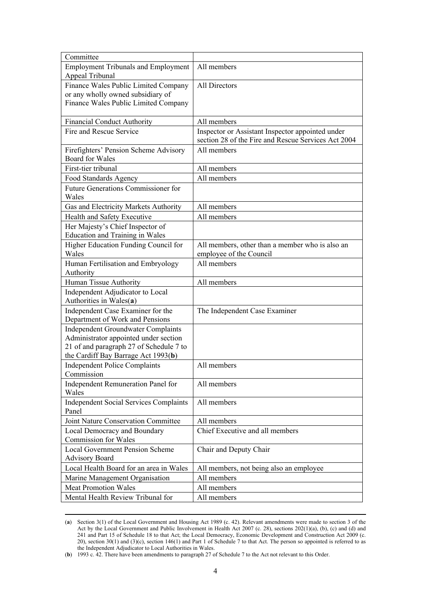| Committee                                                                        |                                                     |
|----------------------------------------------------------------------------------|-----------------------------------------------------|
| <b>Employment Tribunals and Employment</b>                                       | All members                                         |
| Appeal Tribunal                                                                  |                                                     |
| Finance Wales Public Limited Company                                             | All Directors                                       |
| or any wholly owned subsidiary of                                                |                                                     |
| Finance Wales Public Limited Company                                             |                                                     |
| <b>Financial Conduct Authority</b>                                               | All members                                         |
| Fire and Rescue Service                                                          | Inspector or Assistant Inspector appointed under    |
|                                                                                  | section 28 of the Fire and Rescue Services Act 2004 |
| Firefighters' Pension Scheme Advisory                                            | All members                                         |
| <b>Board for Wales</b>                                                           |                                                     |
| First-tier tribunal                                                              | All members                                         |
| Food Standards Agency                                                            | All members                                         |
| Future Generations Commissioner for                                              |                                                     |
| Wales                                                                            |                                                     |
| Gas and Electricity Markets Authority                                            | All members                                         |
| Health and Safety Executive                                                      | All members                                         |
| Her Majesty's Chief Inspector of                                                 |                                                     |
| <b>Education and Training in Wales</b>                                           |                                                     |
| Higher Education Funding Council for                                             | All members, other than a member who is also an     |
| Wales                                                                            | employee of the Council                             |
| Human Fertilisation and Embryology                                               | All members                                         |
| Authority                                                                        |                                                     |
| Human Tissue Authority                                                           | All members                                         |
| Independent Adjudicator to Local                                                 |                                                     |
| Authorities in Wales(a)                                                          |                                                     |
| Independent Case Examiner for the                                                | The Independent Case Examiner                       |
| Department of Work and Pensions                                                  |                                                     |
| <b>Independent Groundwater Complaints</b>                                        |                                                     |
| Administrator appointed under section<br>21 of and paragraph 27 of Schedule 7 to |                                                     |
| the Cardiff Bay Barrage Act 1993(b)                                              |                                                     |
| <b>Independent Police Complaints</b>                                             | All members                                         |
| Commission                                                                       |                                                     |
| Independent Remuneration Panel for                                               | All members                                         |
| Wales                                                                            |                                                     |
| <b>Independent Social Services Complaints</b>                                    | All members                                         |
| Panel                                                                            |                                                     |
| Joint Nature Conservation Committee                                              | All members                                         |
| Local Democracy and Boundary                                                     | Chief Executive and all members                     |
| <b>Commission for Wales</b>                                                      |                                                     |
| <b>Local Government Pension Scheme</b>                                           | Chair and Deputy Chair                              |
| <b>Advisory Board</b>                                                            |                                                     |
| Local Health Board for an area in Wales                                          | All members, not being also an employee             |
| Marine Management Organisation                                                   | All members                                         |
| <b>Meat Promotion Wales</b>                                                      | All members                                         |
| Mental Health Review Tribunal for                                                | All members                                         |

<sup>(</sup>**a**) Section 3(1) of the Local Government and Housing Act 1989 (c. 42). Relevant amendments were made to section 3 of the Act by the Local Government and Public Involvement in Health Act 2007 (c. 28), sections 202(1)(a), (b), (c) and (d) and 241 and Part 15 of Schedule 18 to that Act; the Local Democracy, Economic Development and Construction Act 2009 (c. 20), section 30(1) and (3)(c), section 146(1) and Part 1 of Schedule 7 to that Act. The person so appointed is referred to as the Independent Adjudicator to Local Authorities in Wales.

<sup>(</sup>**b**) 1993 c. 42. There have been amendments to paragraph 27 of Schedule 7 to the Act not relevant to this Order.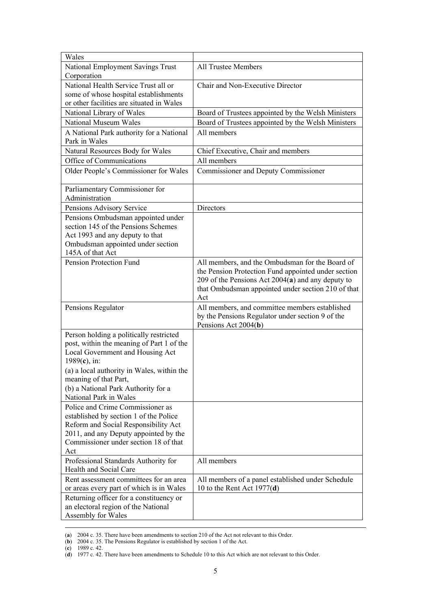| Wales                                                                                                                                                                                                                                                                                |                                                                                                                                                                                                                            |
|--------------------------------------------------------------------------------------------------------------------------------------------------------------------------------------------------------------------------------------------------------------------------------------|----------------------------------------------------------------------------------------------------------------------------------------------------------------------------------------------------------------------------|
| National Employment Savings Trust<br>Corporation                                                                                                                                                                                                                                     | <b>All Trustee Members</b>                                                                                                                                                                                                 |
| National Health Service Trust all or<br>some of whose hospital establishments<br>or other facilities are situated in Wales                                                                                                                                                           | Chair and Non-Executive Director                                                                                                                                                                                           |
| National Library of Wales                                                                                                                                                                                                                                                            | Board of Trustees appointed by the Welsh Ministers                                                                                                                                                                         |
| National Museum Wales                                                                                                                                                                                                                                                                | Board of Trustees appointed by the Welsh Ministers                                                                                                                                                                         |
| A National Park authority for a National<br>Park in Wales                                                                                                                                                                                                                            | All members                                                                                                                                                                                                                |
| Natural Resources Body for Wales                                                                                                                                                                                                                                                     | Chief Executive, Chair and members                                                                                                                                                                                         |
| Office of Communications                                                                                                                                                                                                                                                             | All members                                                                                                                                                                                                                |
| Older People's Commissioner for Wales                                                                                                                                                                                                                                                | Commissioner and Deputy Commissioner                                                                                                                                                                                       |
| Parliamentary Commissioner for<br>Administration                                                                                                                                                                                                                                     |                                                                                                                                                                                                                            |
| Pensions Advisory Service                                                                                                                                                                                                                                                            | Directors                                                                                                                                                                                                                  |
| Pensions Ombudsman appointed under<br>section 145 of the Pensions Schemes<br>Act 1993 and any deputy to that<br>Ombudsman appointed under section<br>145A of that Act                                                                                                                |                                                                                                                                                                                                                            |
| Pension Protection Fund                                                                                                                                                                                                                                                              | All members, and the Ombudsman for the Board of<br>the Pension Protection Fund appointed under section<br>209 of the Pensions Act $2004(a)$ and any deputy to<br>that Ombudsman appointed under section 210 of that<br>Act |
| Pensions Regulator                                                                                                                                                                                                                                                                   | All members, and committee members established<br>by the Pensions Regulator under section 9 of the<br>Pensions Act 2004(b)                                                                                                 |
| Person holding a politically restricted<br>post, within the meaning of Part 1 of the<br>Local Government and Housing Act<br>1989 $(c)$ , in:<br>(a) a local authority in Wales, within the<br>meaning of that Part,<br>(b) a National Park Authority for a<br>National Park in Wales |                                                                                                                                                                                                                            |
| Police and Crime Commissioner as<br>established by section 1 of the Police<br>Reform and Social Responsibility Act<br>2011, and any Deputy appointed by the<br>Commissioner under section 18 of that<br>Act                                                                          |                                                                                                                                                                                                                            |
| Professional Standards Authority for<br>Health and Social Care                                                                                                                                                                                                                       | All members                                                                                                                                                                                                                |
| Rent assessment committees for an area<br>or areas every part of which is in Wales                                                                                                                                                                                                   | All members of a panel established under Schedule<br>10 to the Rent Act $1977(d)$                                                                                                                                          |
| Returning officer for a constituency or<br>an electoral region of the National<br>Assembly for Wales                                                                                                                                                                                 |                                                                                                                                                                                                                            |

<sup>(</sup>**a**) 2004 c. 35. There have been amendments to section 210 of the Act not relevant to this Order.

<sup>(</sup>**b**) 2004 c. 35. The Pensions Regulator is established by section 1 of the Act.

<sup>(</sup>**c**) 1989 c. 42.

<sup>(</sup>**d**) 1977 c. 42. There have been amendments to Schedule 10 to this Act which are not relevant to this Order.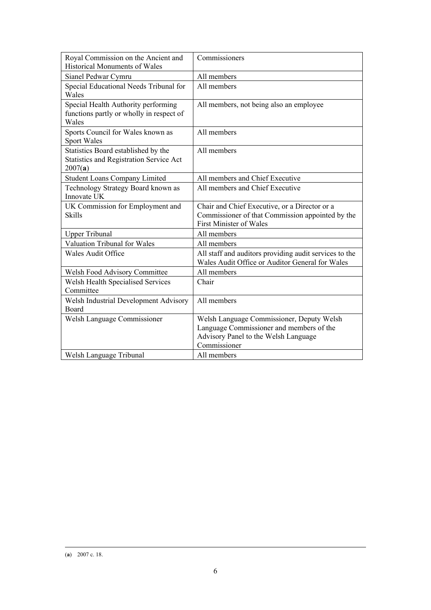| Royal Commission on the Ancient and<br><b>Historical Monuments of Wales</b>                      | Commissioners                                                                                                                                 |
|--------------------------------------------------------------------------------------------------|-----------------------------------------------------------------------------------------------------------------------------------------------|
| Sianel Pedwar Cymru                                                                              | All members                                                                                                                                   |
| Special Educational Needs Tribunal for<br>Wales                                                  | All members                                                                                                                                   |
| Special Health Authority performing<br>functions partly or wholly in respect of<br>Wales         | All members, not being also an employee                                                                                                       |
| Sports Council for Wales known as<br>Sport Wales                                                 | All members                                                                                                                                   |
| Statistics Board established by the<br><b>Statistics and Registration Service Act</b><br>2007(a) | All members                                                                                                                                   |
| <b>Student Loans Company Limited</b>                                                             | All members and Chief Executive                                                                                                               |
| Technology Strategy Board known as<br>Innovate UK                                                | All members and Chief Executive                                                                                                               |
| UK Commission for Employment and<br><b>Skills</b>                                                | Chair and Chief Executive, or a Director or a<br>Commissioner of that Commission appointed by the<br><b>First Minister of Wales</b>           |
| <b>Upper Tribunal</b>                                                                            | All members                                                                                                                                   |
| Valuation Tribunal for Wales                                                                     | All members                                                                                                                                   |
| <b>Wales Audit Office</b>                                                                        | All staff and auditors providing audit services to the<br>Wales Audit Office or Auditor General for Wales                                     |
| Welsh Food Advisory Committee                                                                    | All members                                                                                                                                   |
| Welsh Health Specialised Services<br>Committee                                                   | Chair                                                                                                                                         |
| Welsh Industrial Development Advisory<br>Board                                                   | All members                                                                                                                                   |
| Welsh Language Commissioner                                                                      | Welsh Language Commissioner, Deputy Welsh<br>Language Commissioner and members of the<br>Advisory Panel to the Welsh Language<br>Commissioner |
| Welsh Language Tribunal                                                                          | All members                                                                                                                                   |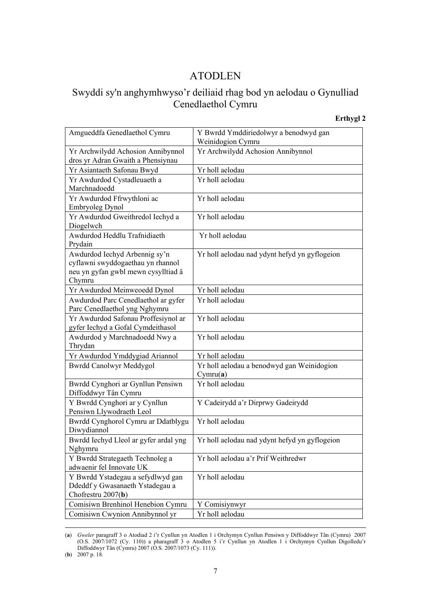### ATODLEN

## Swyddi sy'n anghymhwyso'r deiliaid rhag bod yn aelodau o Gynulliad Cenedlaethol Cymru

#### **Erthygl 2**

| Amgueddfa Genedlaethol Cymru                                           | Y Bwrdd Ymddiriedolwyr a benodwyd gan<br>Weinidogion Cymru |
|------------------------------------------------------------------------|------------------------------------------------------------|
|                                                                        | Yr Archwilydd Achosion Annibynnol                          |
| Yr Archwilydd Achosion Annibynnol<br>dros yr Adran Gwaith a Phensiynau |                                                            |
| Yr Asiantaeth Safonau Bwyd                                             | Yr holl aelodau                                            |
| Yr Awdurdod Cystadleuaeth a                                            | Yr holl aelodau                                            |
| Marchnadoedd                                                           |                                                            |
| Yr Awdurdod Ffrwythloni ac                                             | Yr holl aelodau                                            |
| Embryoleg Dynol                                                        |                                                            |
| Yr Awdurdod Gweithredol Iechyd a<br>Diogelwch                          | Yr holl aelodau                                            |
| Awdurdod Heddlu Trafnidiaeth                                           | Yr holl aelodau                                            |
| Prydain<br>Awdurdod Iechyd Arbennig sy'n                               | Yr holl aelodau nad ydynt hefyd yn gyflogeion              |
| cyflawni swyddogaethau yn rhannol                                      |                                                            |
| neu yn gyfan gwbl mewn cysylltiad â                                    |                                                            |
| Chymru                                                                 |                                                            |
| Yr Awdurdod Meinweoedd Dynol                                           | Yr holl aelodau                                            |
| Awdurdod Parc Cenedlaethol ar gyfer                                    | Yr holl aelodau                                            |
| Parc Cenedlaethol yng Nghymru                                          |                                                            |
| Yr Awdurdod Safonau Proffesiynol ar                                    | Yr holl aelodau                                            |
| gyfer Iechyd a Gofal Cymdeithasol                                      |                                                            |
| Awdurdod y Marchnadoedd Nwy a                                          | Yr holl aelodau                                            |
| Thrydan                                                                |                                                            |
| Yr Awdurdod Ymddygiad Ariannol                                         | Yr holl aelodau                                            |
| <b>Bwrdd Canolwyr Meddygol</b>                                         | Yr holl aelodau a benodwyd gan Weinidogion<br>Cymru(a)     |
| Bwrdd Cynghori ar Gynllun Pensiwn                                      | Yr holl aelodau                                            |
| Diffoddwyr Tân Cymru                                                   |                                                            |
| Y Bwrdd Cynghori ar y Cynllun                                          | Y Cadeirydd a'r Dirprwy Gadeirydd                          |
| Pensiwn Llywodraeth Leol                                               |                                                            |
| Bwrdd Cynghorol Cymru ar Ddatblygu                                     | Yr holl aelodau                                            |
| Diwydiannol                                                            |                                                            |
| Bwrdd Iechyd Lleol ar gyfer ardal yng<br>Nghymru                       | Yr holl aelodau nad ydynt hefyd yn gyflogeion              |
| Y Bwrdd Strategaeth Technoleg a                                        | Yr holl aelodau a'r Prif Weithredwr                        |
| adwaenir fel Innovate UK                                               |                                                            |
| Y Bwrdd Ystadegau a sefydlwyd gan                                      | Yr holl aelodau                                            |
| Ddeddf y Gwasanaeth Ystadegau a                                        |                                                            |
| Chofrestru 2007(b)                                                     |                                                            |
| Comisiwn Brenhinol Henebion Cymru                                      | Y Comisiynwyr                                              |
| Comisiwn Cwynion Annibynnol yr                                         | Yr holl aelodau                                            |

<sup>(</sup>**a**) *Gweler* paragraff 3 o Atodiad 2 i'r Cynllun yn Atodlen 1 i Orchymyn Cynllun Pensiwn y Diffoddwyr Tân (Cymru) 2007 (O.S. 2007/1072 (Cy. 110)) a pharagraff 3 o Atodlen 5 i'r Cynllun yn Atodlen 1 i Orchymyn Cynllun Digolledu'r Diffoddwyr Tân (Cymru) 2007 (O.S. 2007/1073 (Cy. 111)).

<sup>(</sup>**b**) 2007 p. 18.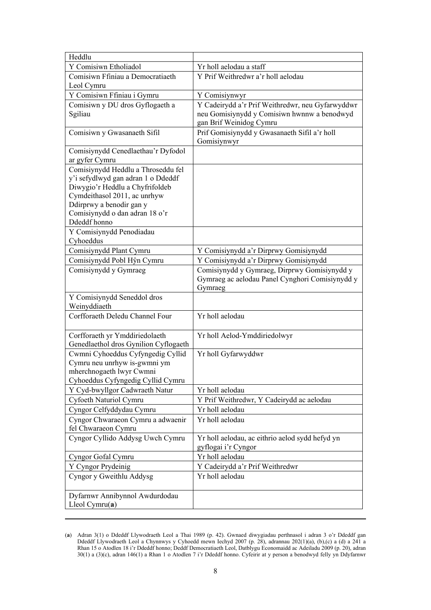| Heddlu                                                                                                                                                                                                                    |                                                                                                            |
|---------------------------------------------------------------------------------------------------------------------------------------------------------------------------------------------------------------------------|------------------------------------------------------------------------------------------------------------|
| Y Comisiwn Etholiadol                                                                                                                                                                                                     | Yr holl aelodau a staff                                                                                    |
| Comisiwn Ffiniau a Democratiaeth<br>Leol Cymru                                                                                                                                                                            | Y Prif Weithredwr a'r holl aelodau                                                                         |
| Y Comisiwn Ffiniau i Gymru                                                                                                                                                                                                | Y Comisiynwyr                                                                                              |
| Comisiwn y DU dros Gyflogaeth a                                                                                                                                                                                           | Y Cadeirydd a'r Prif Weithredwr, neu Gyfarwyddwr                                                           |
| Sgiliau                                                                                                                                                                                                                   | neu Gomisiynydd y Comisiwn hwnnw a benodwyd<br>gan Brif Weinidog Cymru                                     |
| Comisiwn y Gwasanaeth Sifil                                                                                                                                                                                               | Prif Gomisiynydd y Gwasanaeth Sifil a'r holl<br>Gomisiynwyr                                                |
| Comisiynydd Cenedlaethau'r Dyfodol<br>ar gyfer Cymru                                                                                                                                                                      |                                                                                                            |
| Comisiynydd Heddlu a Throseddu fel<br>y'i sefydlwyd gan adran 1 o Ddeddf<br>Diwygio'r Heddlu a Chyfrifoldeb<br>Cymdeithasol 2011, ac unrhyw<br>Ddirprwy a benodir gan y<br>Comisiynydd o dan adran 18 o'r<br>Ddeddf honno |                                                                                                            |
| Y Comisiynydd Penodiadau<br>Cyhoeddus                                                                                                                                                                                     |                                                                                                            |
| Comisiynydd Plant Cymru                                                                                                                                                                                                   | Y Comisiynydd a'r Dirprwy Gomisiynydd                                                                      |
| Comisiynydd Pobl Hŷn Cymru                                                                                                                                                                                                | Y Comisiynydd a'r Dirprwy Gomisiynydd                                                                      |
| Comisiynydd y Gymraeg                                                                                                                                                                                                     | Comisiynydd y Gymraeg, Dirprwy Gomisiynydd y<br>Gymraeg ac aelodau Panel Cynghori Comisiynydd y<br>Gymraeg |
| Y Comisiynydd Seneddol dros<br>Weinyddiaeth                                                                                                                                                                               |                                                                                                            |
| Corfforaeth Deledu Channel Four                                                                                                                                                                                           | Yr holl aelodau                                                                                            |
| Corfforaeth yr Ymddiriedolaeth<br>Genedlaethol dros Gynilion Cyflogaeth                                                                                                                                                   | Yr holl Aelod-Ymddiriedolwyr                                                                               |
| Cwmni Cyhoeddus Cyfyngedig Cyllid<br>Cymru neu unrhyw is-gwmni ym<br>mherchnogaeth lwyr Cwmni<br>Cyhoeddus Cyfyngedig Cyllid Cymru                                                                                        | Yr holl Gyfarwyddwr                                                                                        |
| Y Cyd-bwyllgor Cadwraeth Natur                                                                                                                                                                                            | Yr holl aelodau                                                                                            |
| Cyfoeth Naturiol Cymru                                                                                                                                                                                                    | Y Prif Weithredwr, Y Cadeirydd ac aelodau                                                                  |
| Cyngor Celfyddydau Cymru                                                                                                                                                                                                  | Yr holl aelodau                                                                                            |
| Cyngor Chwaraeon Cymru a adwaenir<br>fel Chwaraeon Cymru                                                                                                                                                                  | Yr holl aelodau                                                                                            |
| Cyngor Cyllido Addysg Uwch Cymru                                                                                                                                                                                          | Yr holl aelodau, ac eithrio aelod sydd hefyd yn<br>gyflogai i'r Cyngor                                     |
| Cyngor Gofal Cymru                                                                                                                                                                                                        | Yr holl aelodau                                                                                            |
| Y Cyngor Prydeinig                                                                                                                                                                                                        | Y Cadeirydd a'r Prif Weithredwr                                                                            |
| Cyngor y Gweithlu Addysg                                                                                                                                                                                                  | Yr holl aelodau                                                                                            |
| Dyfarnwr Annibynnol Awdurdodau<br>Lleol Cymru $(a)$                                                                                                                                                                       |                                                                                                            |

<sup>(</sup>**a**) Adran 3(1) o Ddeddf Llywodraeth Leol a Thai 1989 (p. 42). Gwnaed diwygiadau perthnasol i adran 3 o'r Ddeddf gan Ddeddf Llywodraeth Leol a Chynnwys y Cyhoedd mewn Iechyd 2007 (p. 28), adrannau 202(1)(a), (b),(c) a (d) a 241 a Rhan 15 o Atodlen 18 i'r Ddeddf honno; Deddf Democratiaeth Leol, Datblygu Economaidd ac Adeiladu 2009 (p. 20), adran 30(1) a (3)(c), adran 146(1) a Rhan 1 o Atodlen 7 i'r Ddeddf honno. Cyfeirir at y person a benodwyd felly yn Ddyfarnwr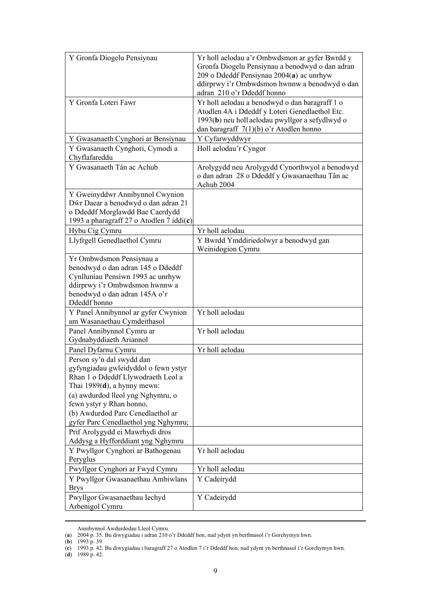| Y Gronfa Diogelu Pensiynau                                                                                                                                                                                                                                                              | Yr holl aelodau a'r Ombwdsmon ar gyfer Bwrdd y<br>Gronfa Diogelu Pensiynau a benodwyd o dan adran<br>209 o Ddeddf Pensiynau 2004(a) ac unrhyw<br>ddirprwy i'r Ombwdsmon hwnnw a benodwyd o dan<br>adran 210 o'r Ddeddf honno |
|-----------------------------------------------------------------------------------------------------------------------------------------------------------------------------------------------------------------------------------------------------------------------------------------|------------------------------------------------------------------------------------------------------------------------------------------------------------------------------------------------------------------------------|
| Y Gronfa Loteri Fawr                                                                                                                                                                                                                                                                    | Yr holl aelodau a benodwyd o dan baragraff 1 o<br>Atodlen 4A i Ddeddf y Loteri Genedlaethol Etc.<br>1993(b) neu holl aelodau pwyllgor a sefydlwyd o<br>dan baragraff $7(1)(b)$ o'r Atodlen honno                             |
| Y Gwasanaeth Cynghori ar Bensiynau                                                                                                                                                                                                                                                      | Y Cyfarwyddwyr                                                                                                                                                                                                               |
| Y Gwasanaeth Cynghori, Cymodi a<br>Chyflafareddu                                                                                                                                                                                                                                        | Holl aelodau'r Cyngor                                                                                                                                                                                                        |
| Y Gwasanaeth Tân ac Achub                                                                                                                                                                                                                                                               | Arolygydd neu Arolygydd Cynorthwyol a benodwyd<br>o dan adran 28 o Ddeddf y Gwasanaethau Tân ac<br>Achub 2004                                                                                                                |
| Y Gweinyddwr Annibynnol Cwynion<br>Dŵr Daear a benodwyd o dan adran 21<br>o Ddeddf Morglawdd Bae Caerdydd<br>1993 a pharagraff 27 o Atodlen 7 iddi(c)                                                                                                                                   |                                                                                                                                                                                                                              |
| Hybu Cig Cymru                                                                                                                                                                                                                                                                          | Yr holl aelodau                                                                                                                                                                                                              |
| Llyfrgell Genedlaethol Cymru                                                                                                                                                                                                                                                            | Y Bwrdd Ymddiriedolwyr a benodwyd gan<br>Weinidogion Cymru                                                                                                                                                                   |
| Yr Ombwdsmon Pensiynau a<br>benodwyd o dan adran 145 o Ddeddf<br>Cynlluniau Pensiwn 1993 ac unrhyw<br>ddirprwy i'r Ombwdsmon hwnnw a<br>benodwyd o dan adran 145A o'r<br>Ddeddf honno                                                                                                   |                                                                                                                                                                                                                              |
| Y Panel Annibynnol ar gyfer Cwynion<br>am Wasanaethau Cymdeithasol                                                                                                                                                                                                                      | Yr holl aelodau                                                                                                                                                                                                              |
| Panel Annibynnol Cymru ar<br>Gydnabyddiaeth Ariannol                                                                                                                                                                                                                                    | Yr holl aelodau                                                                                                                                                                                                              |
| Panel Dyfarnu Cymru                                                                                                                                                                                                                                                                     | Yr holl aelodau                                                                                                                                                                                                              |
| Person sy'n dal swydd dan<br>gyfyngiadau gwleidyddol o fewn ystyr<br>Rhan 1 o Ddeddf Llywodraeth Leol a<br>Thai $1989(d)$ , a hynny mewn:<br>(a) awdurdod lleol yng Nghymru, o<br>fewn ystyr y Rhan honno,<br>(b) Awdurdod Parc Cenedlaethol ar<br>gyfer Parc Cenedlaethol yng Nghymru; |                                                                                                                                                                                                                              |
| Prif Arolygydd ei Mawrhydi dros<br>Addysg a Hyfforddiant yng Nghymru                                                                                                                                                                                                                    |                                                                                                                                                                                                                              |
| Y Pwyllgor Cynghori ar Bathogenau<br>Peryglus                                                                                                                                                                                                                                           | Yr holl aelodau                                                                                                                                                                                                              |
| Pwyllgor Cynghori ar Fwyd Cymru                                                                                                                                                                                                                                                         | Yr holl aelodau                                                                                                                                                                                                              |
| Y Pwyllgor Gwasanaethau Ambiwlans<br><b>Brys</b>                                                                                                                                                                                                                                        | Y Cadeirydd                                                                                                                                                                                                                  |
| Pwyllgor Gwasanaethau Iechyd<br>Arbenigol Cymru                                                                                                                                                                                                                                         | Y Cadeirydd                                                                                                                                                                                                                  |

Annibynnol Awdurdodau Lleol Cymru.

<sup>(</sup>**a**) 2004 p. 35. Bu diwygiadau i adran 210 o'r Ddeddf hon, nad ydynt yn berthnasol i'r Gorchymyn hwn.

<sup>(</sup>**b**) 1993 p. 39.

<sup>(</sup>**c**) 1993 p. 42. Bu diwygiadau i baragraff 27 o Atodlen 7 i'r Ddeddf hon, nad ydynt yn berthnasol i'r Gorchymyn hwn.

<sup>(</sup>**d**) 1989 p. 42.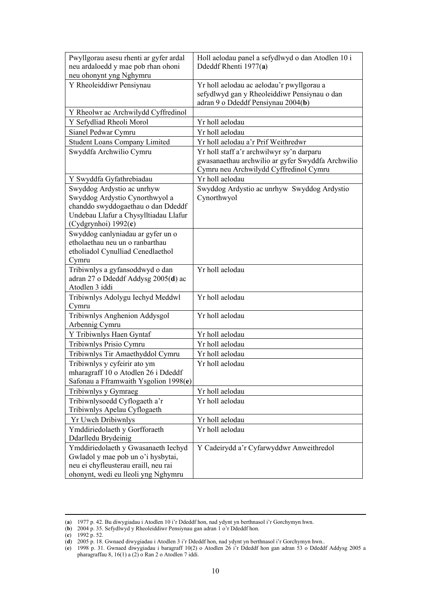| Pwyllgorau asesu rhenti ar gyfer ardal                               | Holl aelodau panel a sefydlwyd o dan Atodlen 10 i                                           |
|----------------------------------------------------------------------|---------------------------------------------------------------------------------------------|
| neu ardaloedd y mae pob rhan ohoni                                   | Ddeddf Rhenti 1977(a)                                                                       |
| neu ohonynt yng Nghymru                                              |                                                                                             |
| Y Rheoleiddiwr Pensiynau                                             | Yr holl aelodau ac aelodau'r pwyllgorau a                                                   |
|                                                                      | sefydlwyd gan y Rheoleiddiwr Pensiynau o dan<br>adran 9 o Ddeddf Pensiynau 2004(b)          |
| Y Rheolwr ac Archwilydd Cyffredinol                                  |                                                                                             |
| Y Sefydliad Rheoli Morol                                             | Yr holl aelodau                                                                             |
| Sianel Pedwar Cymru                                                  | Yr holl aelodau                                                                             |
| <b>Student Loans Company Limited</b>                                 | Yr holl aelodau a'r Prif Weithredwr                                                         |
| Swyddfa Archwilio Cymru                                              | Yr holl staff a'r archwilwyr sy'n darparu                                                   |
|                                                                      | gwasanaethau archwilio ar gyfer Swyddfa Archwilio<br>Cymru neu Archwilydd Cyffredinol Cymru |
| Y Swyddfa Gyfathrebiadau                                             | Yr holl aelodau                                                                             |
| Swyddog Ardystio ac unrhyw                                           | Swyddog Ardystio ac unrhyw Swyddog Ardystio                                                 |
| Swyddog Ardystio Cynorthwyol a                                       | Cynorthwyol                                                                                 |
| chanddo swyddogaethau o dan Ddeddf                                   |                                                                                             |
| Undebau Llafur a Chysylltiadau Llafur                                |                                                                                             |
| (Cydgrynhoi) 1992(c)                                                 |                                                                                             |
| Swyddog canlyniadau ar gyfer un o<br>etholaethau neu un o ranbarthau |                                                                                             |
| etholiadol Cynulliad Cenedlaethol                                    |                                                                                             |
| Cymru                                                                |                                                                                             |
| Tribiwnlys a gyfansoddwyd o dan                                      | Yr holl aelodau                                                                             |
| adran 27 o Ddeddf Addysg 2005(d) ac                                  |                                                                                             |
| Atodlen 3 iddi                                                       |                                                                                             |
| Tribiwnlys Adolygu Iechyd Meddwl                                     | Yr holl aelodau                                                                             |
| Cymru                                                                |                                                                                             |
| Tribiwnlys Anghenion Addysgol                                        | Yr holl aelodau                                                                             |
| Arbennig Cymru                                                       |                                                                                             |
| Y Tribiwnlys Haen Gyntaf                                             | Yr holl aelodau                                                                             |
| Tribiwnlys Prisio Cymru                                              | Yr holl aelodau                                                                             |
| Tribiwnlys Tir Amaethyddol Cymru                                     | Yr holl aelodau<br>Yr holl aelodau                                                          |
| Tribiwnlys y cyfeirir ato ym<br>mharagraff 10 o Atodlen 26 i Ddeddf  |                                                                                             |
| Safonau a Fframwaith Ysgolion 1998(e)                                |                                                                                             |
| Tribiwnlys y Gymraeg                                                 | Yr holl aelodau                                                                             |
| Tribiwnlysoedd Cyflogaeth a'r                                        | Yr holl aelodau                                                                             |
| Tribiwnlys Apelau Cyflogaeth                                         |                                                                                             |
| <b>Yr Uwch Dribiwnlys</b>                                            | Yr holl aelodau                                                                             |
| Ymddiriedolaeth y Gorfforaeth                                        | Yr holl aelodau                                                                             |
| Ddarlledu Brydeinig                                                  |                                                                                             |
| Ymddiriedolaeth y Gwasanaeth Iechyd                                  | Y Cadeirydd a'r Cyfarwyddwr Anweithredol                                                    |
| Gwladol y mae pob un o'i hysbytai,                                   |                                                                                             |
| neu ei chyfleusterau eraill, neu rai                                 |                                                                                             |
| ohonynt, wedi eu lleoli yng Nghymru                                  |                                                                                             |

<sup>(</sup>**a**) 1977 p. 42. Bu diwygiadau i Atodlen 10 i'r Ddeddf hon, nad ydynt yn berthnasol i'r Gorchymyn hwn.

<sup>(</sup>**b**) 2004 p. 35. Sefydlwyd y Rheoleiddiwr Pensiynau gan adran 1 o'r Ddeddf hon.

<sup>(</sup>**c**) 1992 p. 52.

<sup>(</sup>**d**) 2005 p. 18. Gwnaed diwygiadau i Atodlen 3 i'r Ddeddf hon, nad ydynt yn berthnasol i'r Gorchymyn hwn..

<sup>(</sup>**e**) 1998 p. 31. Gwnaed diwygiadau i baragraff 10(2) o Atodlen 26 i'r Ddeddf hon gan adran 53 o Ddeddf Addysg 2005 a pharagraffau 8, 16(1) a (2) o Ran 2 o Atodlen 7 iddi.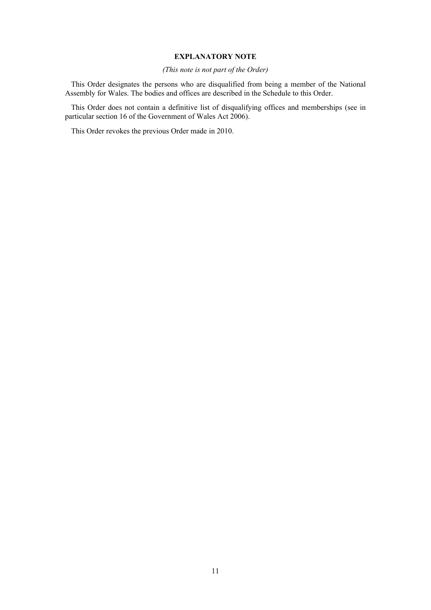#### **EXPLANATORY NOTE**

#### *(This note is not part of the Order)*

This Order designates the persons who are disqualified from being a member of the National Assembly for Wales. The bodies and offices are described in the Schedule to this Order.

This Order does not contain a definitive list of disqualifying offices and memberships (see in particular section 16 of the Government of Wales Act 2006).

This Order revokes the previous Order made in 2010.